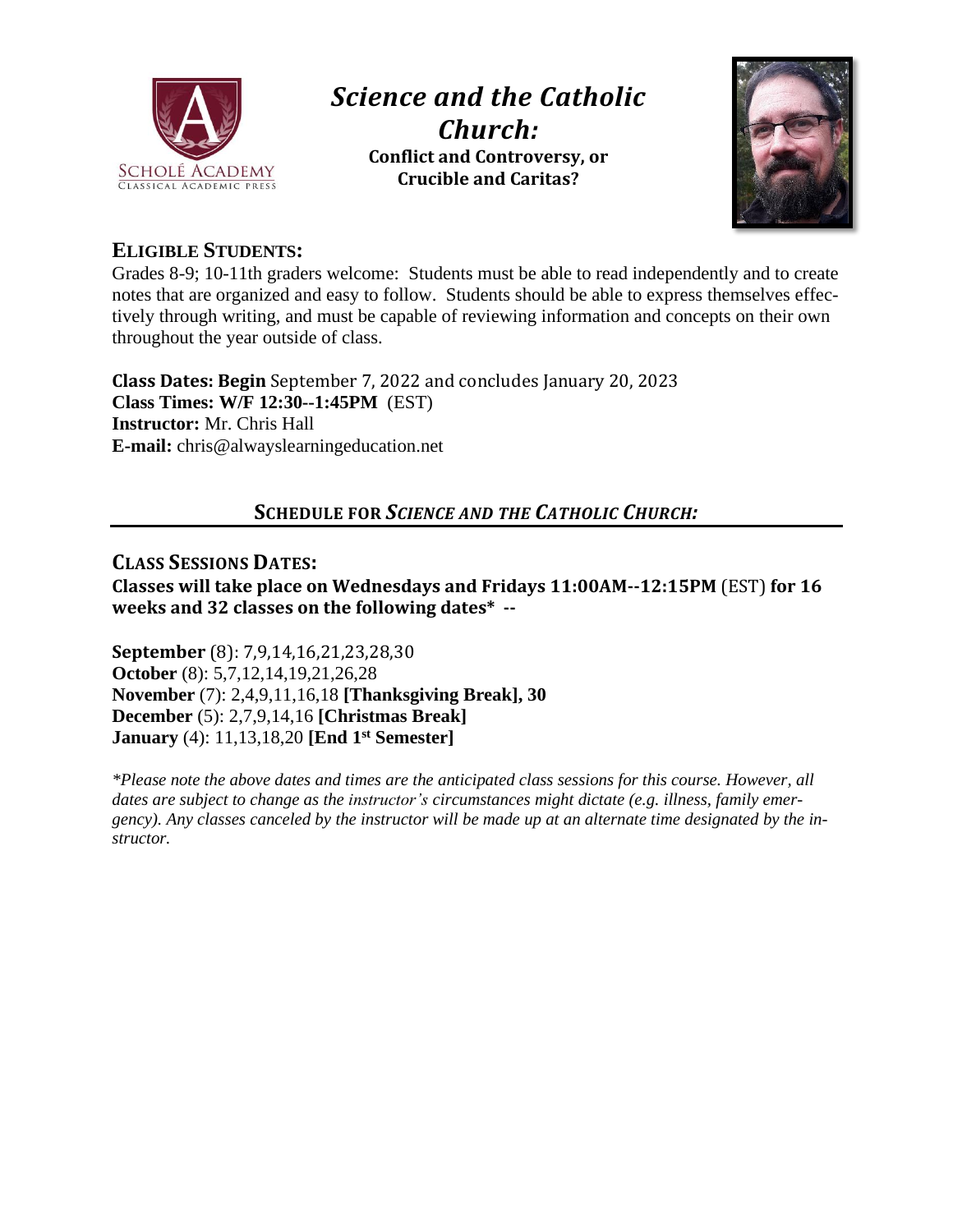

# *Science and the Catholic Church:* **Conflict and Controversy, or Crucible and Caritas?**



## **ELIGIBLE STUDENTS:**

Grades 8-9; 10-11th graders welcome: Students must be able to read independently and to create notes that are organized and easy to follow. Students should be able to express themselves effectively through writing, and must be capable of reviewing information and concepts on their own throughout the year outside of class.

**Class Dates: Begin** September 7, 2022 and concludes January 20, 2023 **Class Times: W/F 12:30--1:45PM** (EST) **Instructor:** Mr. Chris Hall **E-mail:** chris@alwayslearningeducation.net

# **SCHEDULE FOR** *SCIENCE AND THE CATHOLIC CHURCH:*

#### **CLASS SESSIONS DATES: Classes will take place on Wednesdays and Fridays 11:00AM--12:15PM** (EST) **for 16 weeks and 32 classes on the following dates\* --**

**September** (8): 7,9,14,16,21,23,28,30 **October** (8): 5,7,12,14,19,21,26,28 **November** (7): 2,4,9,11,16,18 **[Thanksgiving Break], 30 December** (5): 2,7,9,14,16 **[Christmas Break] January** (4): 11,13,18,20 **[End 1 st Semester]**

*\*Please note the above dates and times are the anticipated class sessions for this course. However, all dates are subject to change as the instructor's circumstances might dictate (e.g. illness, family emer*gency). Any classes canceled by the instructor will be made up at an alternate time designated by the in*structor.*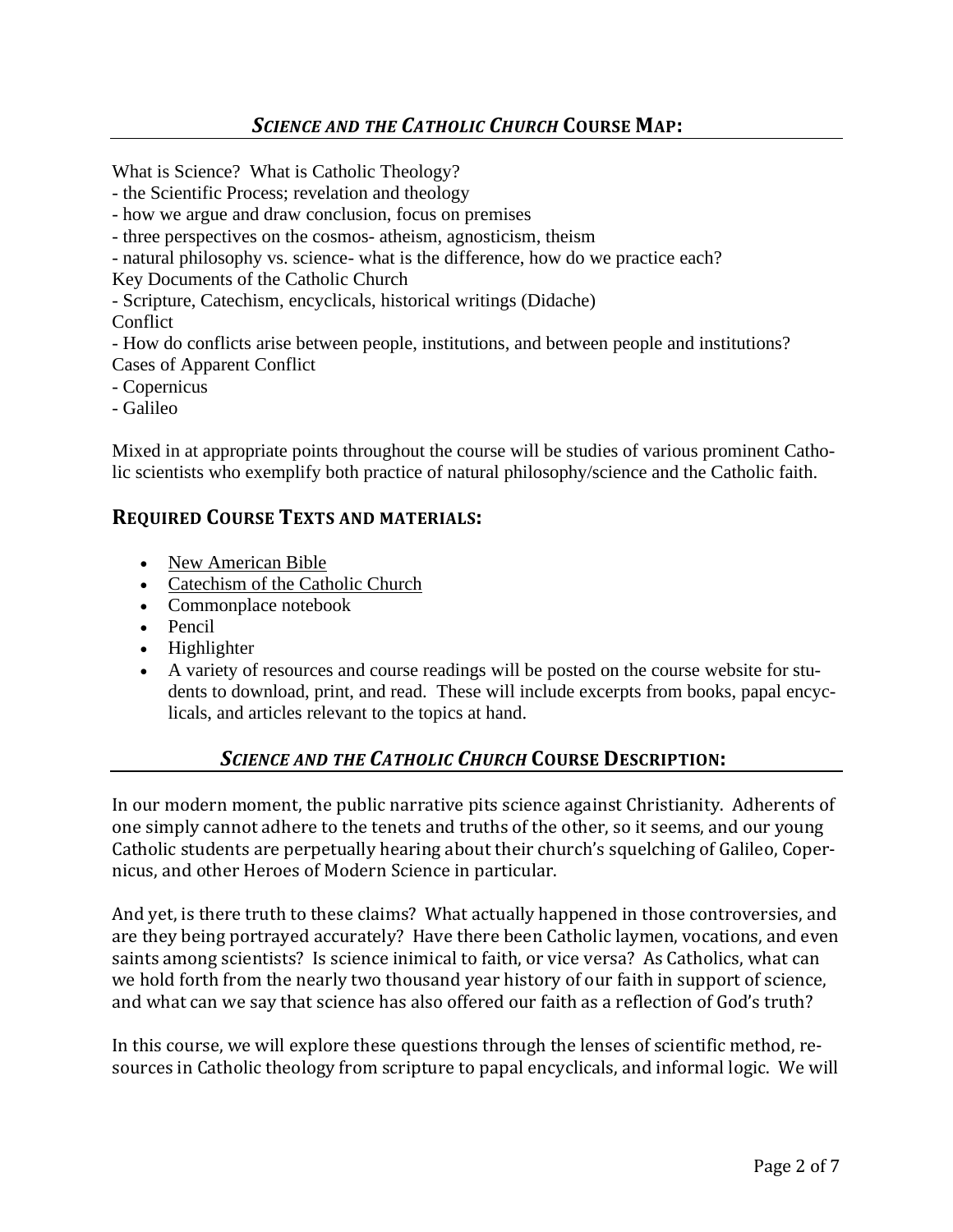What is Science? What is Catholic Theology?

- the Scientific Process; revelation and theology
- how we argue and draw conclusion, focus on premises
- three perspectives on the cosmos- atheism, agnosticism, theism
- natural philosophy vs. science- what is the difference, how do we practice each?
- Key Documents of the Catholic Church
- Scripture, Catechism, encyclicals, historical writings (Didache)

#### **Conflict**

- How do conflicts arise between people, institutions, and between people and institutions? Cases of Apparent Conflict

- Copernicus
- Galileo

Mixed in at appropriate points throughout the course will be studies of various prominent Catholic scientists who exemplify both practice of natural philosophy/science and the Catholic faith.

#### **REQUIRED COURSE TEXTS AND MATERIALS:**

- New American Bible
- Catechism of the Catholic Church
- Commonplace notebook
- Pencil
- Highlighter
- A variety of resources and course readings will be posted on the course website for students to download, print, and read. These will include excerpts from books, papal encyclicals, and articles relevant to the topics at hand.

## *SCIENCE AND THE CATHOLIC CHURCH* **COURSE DESCRIPTION:**

In our modern moment, the public narrative pits science against Christianity. Adherents of one simply cannot adhere to the tenets and truths of the other, so it seems, and our young Catholic students are perpetually hearing about their church's squelching of Galileo, Copernicus, and other Heroes of Modern Science in particular.

And yet, is there truth to these claims? What actually happened in those controversies, and are they being portrayed accurately? Have there been Catholic laymen, vocations, and even saints among scientists? Is science inimical to faith, or vice versa? As Catholics, what can we hold forth from the nearly two thousand year history of our faith in support of science, and what can we say that science has also offered our faith as a reflection of God's truth?

In this course, we will explore these questions through the lenses of scientific method, resources in Catholic theology from scripture to papal encyclicals, and informal logic. We will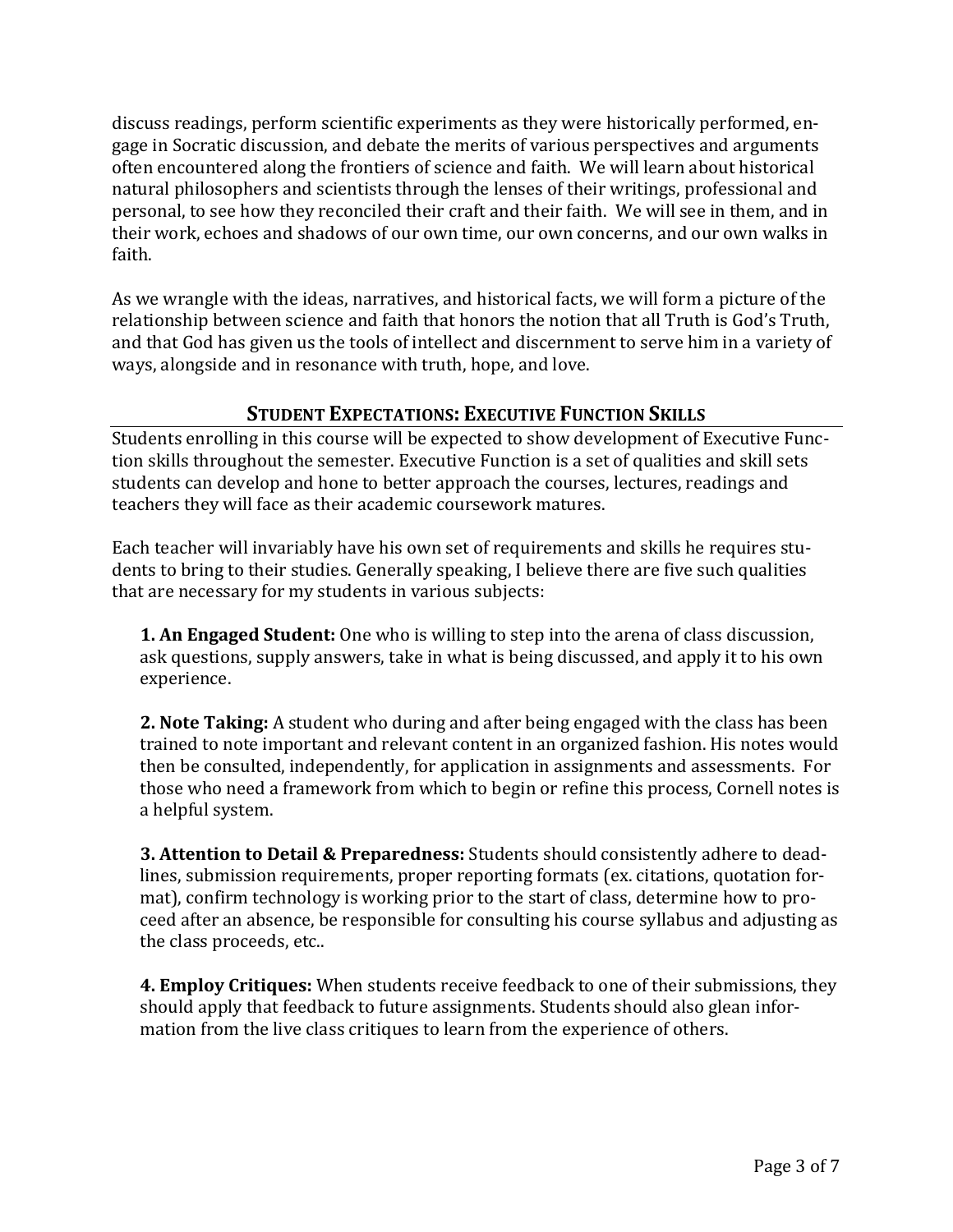discuss readings, perform scientific experiments as they were historically performed, engage in Socratic discussion, and debate the merits of various perspectives and arguments often encountered along the frontiers of science and faith. We will learn about historical natural philosophers and scientists through the lenses of their writings, professional and personal, to see how they reconciled their craft and their faith. We will see in them, and in their work, echoes and shadows of our own time, our own concerns, and our own walks in faith.

As we wrangle with the ideas, narratives, and historical facts, we will form a picture of the relationship between science and faith that honors the notion that all Truth is God's Truth, and that God has given us the tools of intellect and discernment to serve him in a variety of ways, alongside and in resonance with truth, hope, and love.

#### **STUDENT EXPECTATIONS: EXECUTIVE FUNCTION SKILLS**

Students enrolling in this course will be expected to show development of Executive Function skills throughout the semester. Executive Function is a set of qualities and skill sets students can develop and hone to better approach the courses, lectures, readings and teachers they will face as their academic coursework matures.

Each teacher will invariably have his own set of requirements and skills he requires students to bring to their studies. Generally speaking, I believe there are five such qualities that are necessary for my students in various subjects:

**1. An Engaged Student:** One who is willing to step into the arena of class discussion, ask questions, supply answers, take in what is being discussed, and apply it to his own experience.

**2. Note Taking:** A student who during and after being engaged with the class has been trained to note important and relevant content in an organized fashion. His notes would then be consulted, independently, for application in assignments and assessments. For those who need a framework from which to begin or refine this process, Cornell notes is a helpful system.

**3. Attention to Detail & Preparedness:** Students should consistently adhere to deadlines, submission requirements, proper reporting formats (ex. citations, quotation format), confirm technology is working prior to the start of class, determine how to proceed after an absence, be responsible for consulting his course syllabus and adjusting as the class proceeds, etc..

**4. Employ Critiques:** When students receive feedback to one of their submissions, they should apply that feedback to future assignments. Students should also glean information from the live class critiques to learn from the experience of others.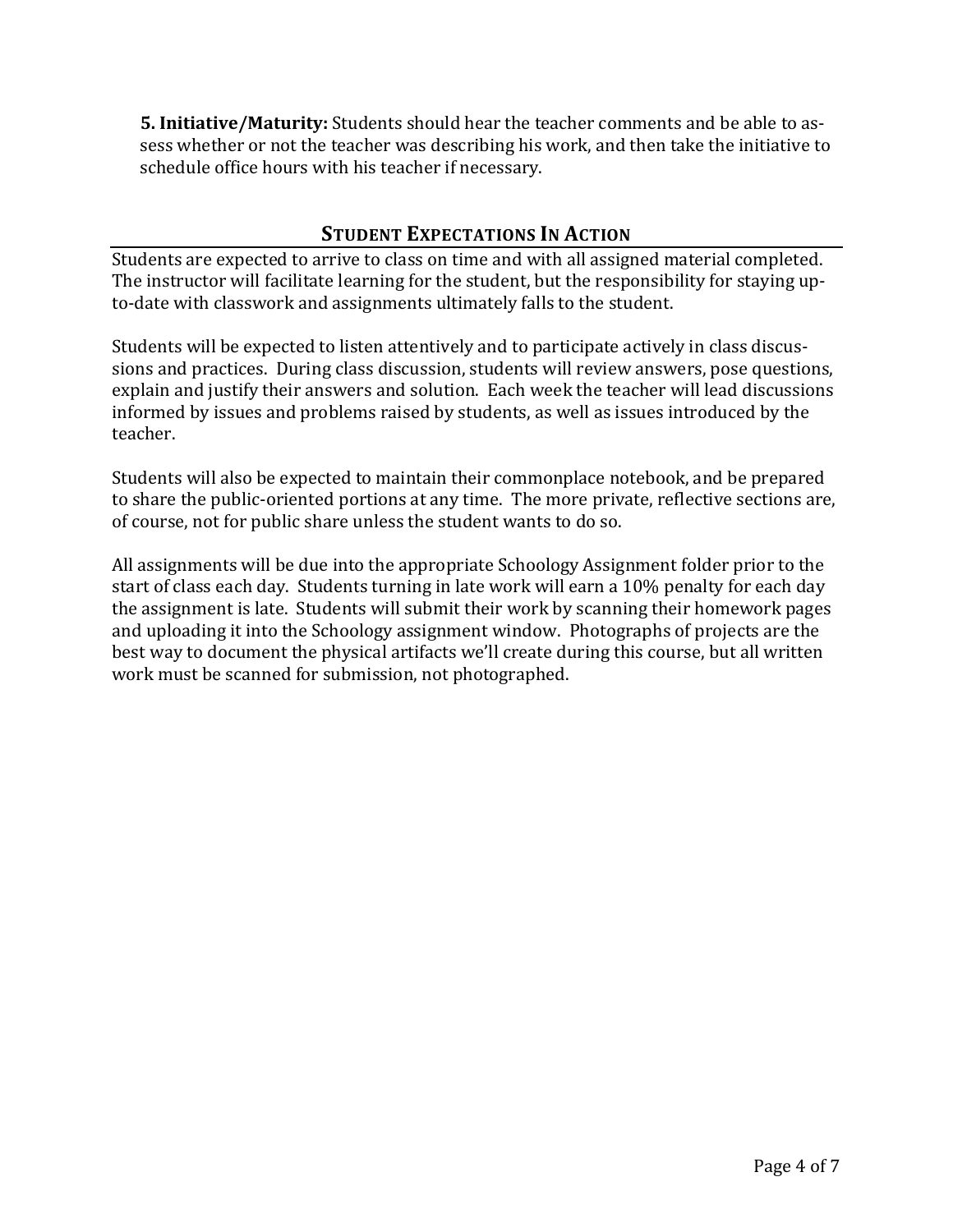**5. Initiative/Maturity:** Students should hear the teacher comments and be able to assess whether or not the teacher was describing his work, and then take the initiative to schedule office hours with his teacher if necessary.

## **STUDENT EXPECTATIONS IN ACTION**

Students are expected to arrive to class on time and with all assigned material completed. The instructor will facilitate learning for the student, but the responsibility for staying upto-date with classwork and assignments ultimately falls to the student.

Students will be expected to listen attentively and to participate actively in class discussions and practices. During class discussion, students will review answers, pose questions, explain and justify their answers and solution. Each week the teacher will lead discussions informed by issues and problems raised by students, as well as issues introduced by the teacher.

Students will also be expected to maintain their commonplace notebook, and be prepared to share the public-oriented portions at any time. The more private, reflective sections are, of course, not for public share unless the student wants to do so.

All assignments will be due into the appropriate Schoology Assignment folder prior to the start of class each day. Students turning in late work will earn a 10% penalty for each day the assignment is late. Students will submit their work by scanning their homework pages and uploading it into the Schoology assignment window. Photographs of projects are the best way to document the physical artifacts we'll create during this course, but all written work must be scanned for submission, not photographed.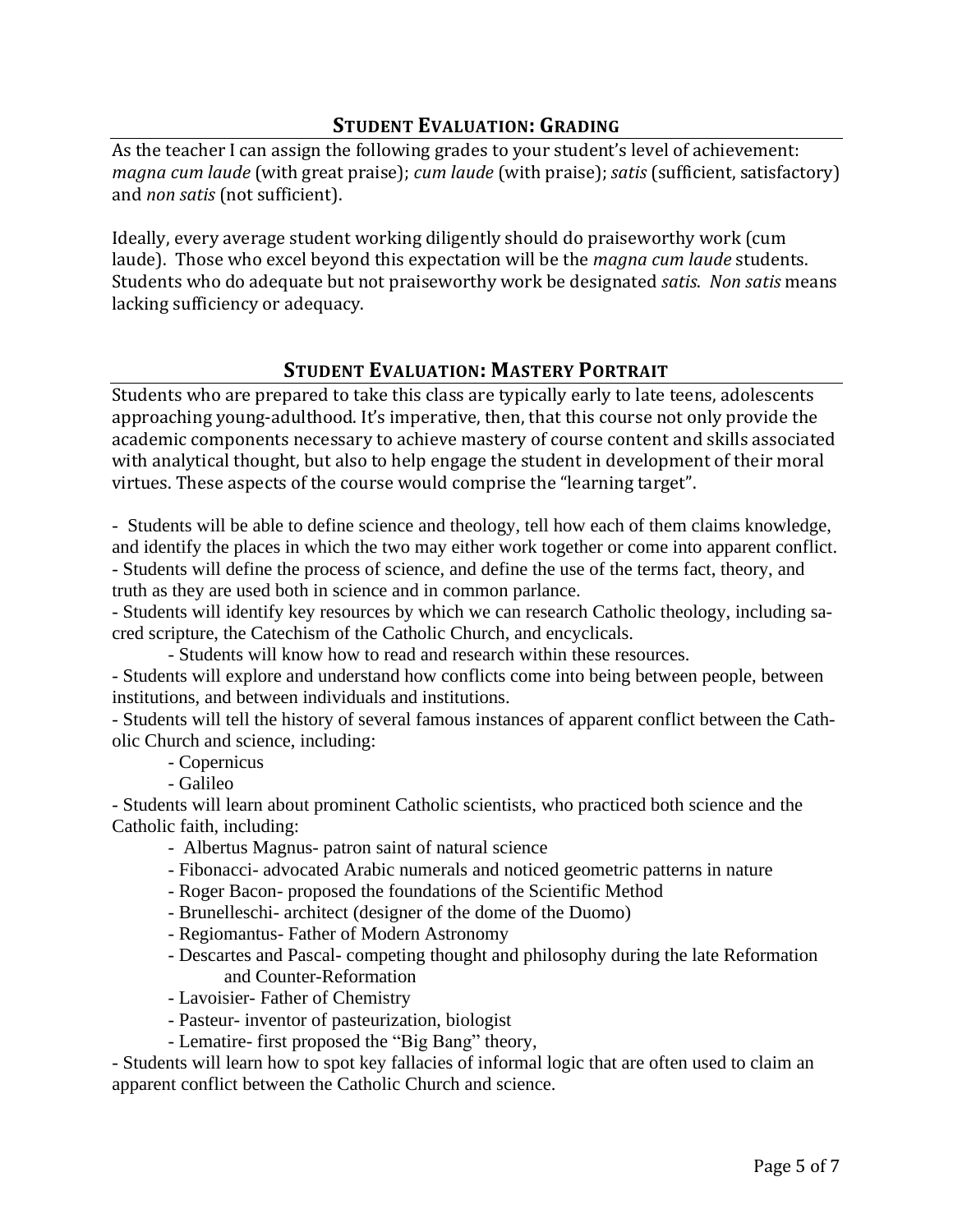## **STUDENT EVALUATION: GRADING**

As the teacher I can assign the following grades to your student's level of achievement: *magna cum laude* (with great praise); *cum laude* (with praise); *satis* (sufficient, satisfactory) and *non satis* (not sufficient).

Ideally, every average student working diligently should do praiseworthy work (cum laude). Those who excel beyond this expectation will be the *magna cum laude* students. Students who do adequate but not praiseworthy work be designated *satis*. *Non satis* means lacking sufficiency or adequacy.

#### **STUDENT EVALUATION: MASTERY PORTRAIT**

Students who are prepared to take this class are typically early to late teens, adolescents approaching young-adulthood. It's imperative, then, that this course not only provide the academic components necessary to achieve mastery of course content and skills associated with analytical thought, but also to help engage the student in development of their moral virtues. These aspects of the course would comprise the "learning target".

- Students will be able to define science and theology, tell how each of them claims knowledge, and identify the places in which the two may either work together or come into apparent conflict. - Students will define the process of science, and define the use of the terms fact, theory, and truth as they are used both in science and in common parlance.

- Students will identify key resources by which we can research Catholic theology, including sacred scripture, the Catechism of the Catholic Church, and encyclicals.

- Students will know how to read and research within these resources.

- Students will explore and understand how conflicts come into being between people, between institutions, and between individuals and institutions.

- Students will tell the history of several famous instances of apparent conflict between the Catholic Church and science, including:

- Copernicus

- Galileo

- Students will learn about prominent Catholic scientists, who practiced both science and the Catholic faith, including:

- Albertus Magnus- patron saint of natural science
- Fibonacci- advocated Arabic numerals and noticed geometric patterns in nature
- Roger Bacon- proposed the foundations of the Scientific Method
- Brunelleschi- architect (designer of the dome of the Duomo)
- Regiomantus- Father of Modern Astronomy
- Descartes and Pascal- competing thought and philosophy during the late Reformation and Counter-Reformation
- Lavoisier- Father of Chemistry
- Pasteur- inventor of pasteurization, biologist
- Lematire- first proposed the "Big Bang" theory,

- Students will learn how to spot key fallacies of informal logic that are often used to claim an apparent conflict between the Catholic Church and science.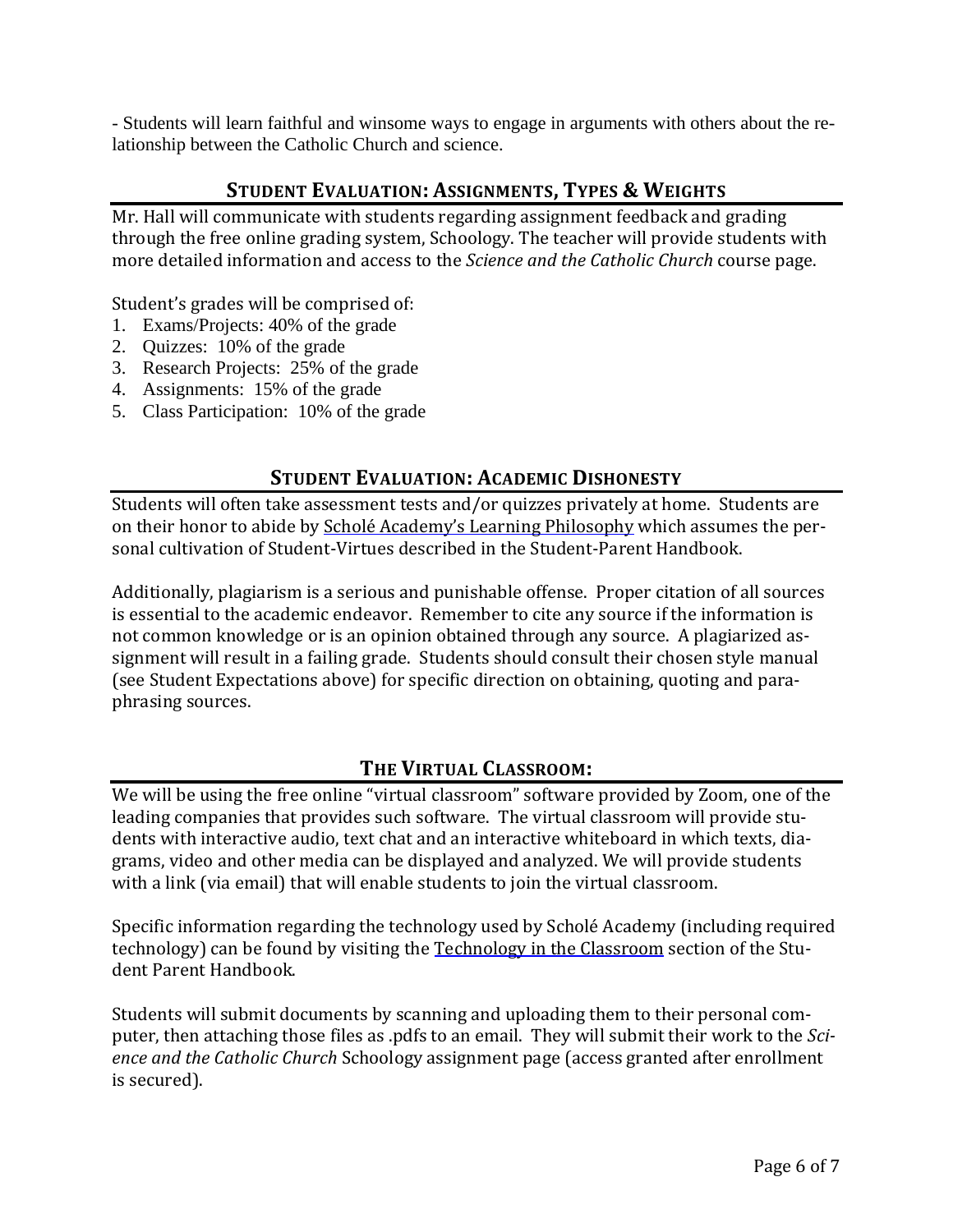- Students will learn faithful and winsome ways to engage in arguments with others about the relationship between the Catholic Church and science.

#### **STUDENT EVALUATION: ASSIGNMENTS, TYPES & WEIGHTS**

Mr. Hall will communicate with students regarding assignment feedback and grading through the free online grading system, Schoology. The teacher will provide students with more detailed information and access to the *Science and the Catholic Church* course page.

Student's grades will be comprised of:

- 1. Exams/Projects: 40% of the grade
- 2. Quizzes: 10% of the grade
- 3. Research Projects: 25% of the grade
- 4. Assignments: 15% of the grade
- 5. Class Participation: 10% of the grade

#### **STUDENT EVALUATION: ACADEMIC DISHONESTY**

Students will often take assessment tests and/or quizzes privately at home. Students are on their honor to abide by Scholé Academy's Learning Philosophy which assumes the personal cultivation of Student-Virtues described in the Student-Parent Handbook.

Additionally, plagiarism is a serious and punishable offense. Proper citation of all sources is essential to the academic endeavor. Remember to cite any source if the information is not common knowledge or is an opinion obtained through any source. A plagiarized assignment will result in a failing grade. Students should consult their chosen style manual (see Student Expectations above) for specific direction on obtaining, quoting and paraphrasing sources.

## **THE VIRTUAL CLASSROOM:**

We will be using the free online "virtual classroom" software provided by Zoom, one of the leading companies that provides such software. The virtual classroom will provide students with interactive audio, text chat and an interactive whiteboard in which texts, diagrams, video and other media can be displayed and analyzed. We will provide students with a link (via email) that will enable students to join the virtual classroom.

Specific information regarding the technology used by Scholé Academy (including required technology) can be found by visiting the Technology in the Classroom section of the Student Parent Handbook.

Students will submit documents by scanning and uploading them to their personal computer, then attaching those files as .pdfs to an email. They will submit their work to the *Science and the Catholic Church* Schoology assignment page (access granted after enrollment is secured).